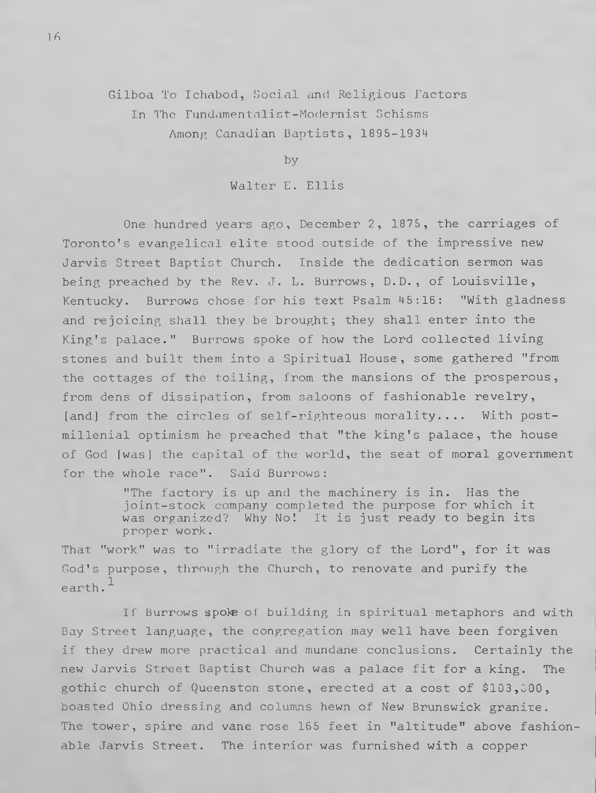Gilboa To Ichabod, Social and Religious Factors In The Fundamentalist-Modernist Schisms Among Canadian Baptists, 1895-1934

by

Walter E. Ellis

One hundred years ago, December 2, 1875, the carriages of Toronto's evangelical elite stood outside of the impressive new Jarvis Street Baptist Church. Inside the dedication sermon was being preached by the Rev. J. L. Burrows, D.D., of Louisville, Kentucky. Burrows chose for his text Psalm 45:16: "With gladness and rejoicing shall they be brought; they shall enter into the King's palace." Burrows spoke of how the Lord collected living stones and built them into a Spiritual House, some gathered "from the cottages of the toiling, from the mansions of the prosperous, from dens of dissipation, from saloons of fashionable revelry, [and] from the circles of self-righteous morality.... With postmillenial optimism he preached that "the king's palace, the house of God [was] the capital of the world, the seat of moral government for the whole race". Said Burrows:

> "The factory is up and the machinery is in. Has the joint-stock company completed the purpose for which it was organized? Why No! It is just ready to begin its proper work.

That "work" was to "irradiate the glory of the Lord", for it was God's purpose, through the Church, to renovate and purify the earth.**1**

If Burrows spoke of building in spiritual metaphors and with Bay Street language, the congregation may well have been forgiven if they drew more practical and mundane conclusions. Certainly the new Jarvis Street Baptist Church was a palace fit for a king. The gothic church of Queenston stone, erected at a cost of \$103,000, boasted Ohio dressing and columns hewn of New Brunswick granite. The tower, spire and vane rose 165 feet in "altitude" above fashionable Jarvis Street. The interior was furnished with a copper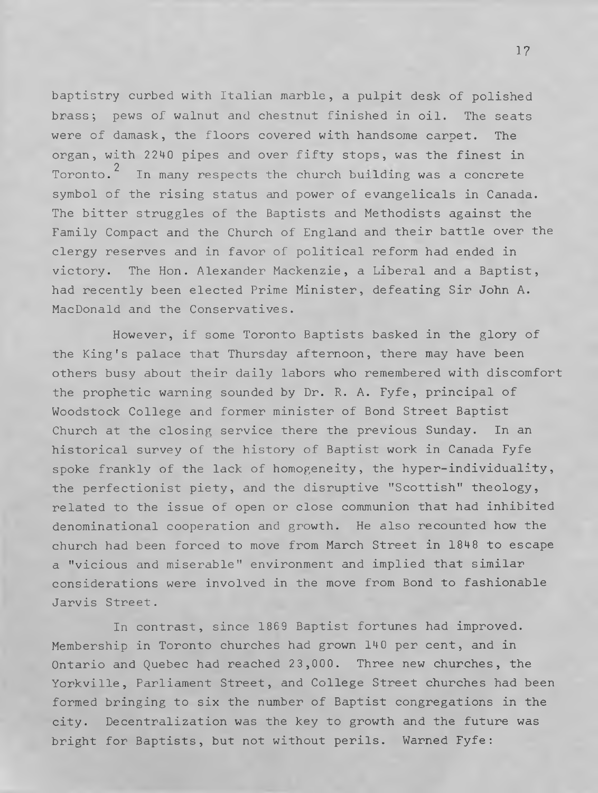baptistry curbed with Italian marble, a pulpit desk of polished brass; pews of walnut and chestnut finished in oil. The seats were of damask, the floors covered with handsome carpet. The organ, with 2240 pipes and over fifty stops, was the finest in Toronto. $^2$  In many respects the church building was a concrete symbol of the rising status and power of evangelicals in Canada. The bitter struggles of the Baptists and Methodists against the Family Compact and the Church of England and their battle over the clergy reserves and in favor of political reform had ended in victory. The Hon. Alexander Mackenzie, a Liberal and a Baptist, had recently been elected Prime Minister, defeating Sir John A. MacDonald and the Conservatives.

However, if some Toronto Baptists basked in the glory of the King's palace that Thursday afternoon, there may have been others busy about their daily labors who remembered with discomfort the prophetic warning sounded by Dr. R. A. Fyfe, principal of Woodstock College and former minister of Bond Street Baptist Church at the closing service there the previous Sunday. In an historical survey of the history of Baptist work in Canada Fyfe spoke frankly of the lack of homogeneity, the hyper-individuality, the perfectionist piety, and the disruptive "Scottish" theology, related to the issue of open or close communion that had inhibited denominational cooperation and growth. He also recounted how the church had been forced to move from March Street in 1848 to escape a "vicious and miserable" environment and implied that similar considerations were involved in the move from Bond to fashionable Jarvis Street.

In contrast, since 1869 Baptist fortunes had improved. Membership in Toronto churches had grown 140 per cent, and in Ontario and Quebec had reached 23,000. Three new churches, the Yorkville, Parliament Street, and College Street churches had been formed bringing to six the number of Baptist congregations in the city. Decentralization was the key to growth and the future was bright for Baptists, but not without perils. Warned Fyfe: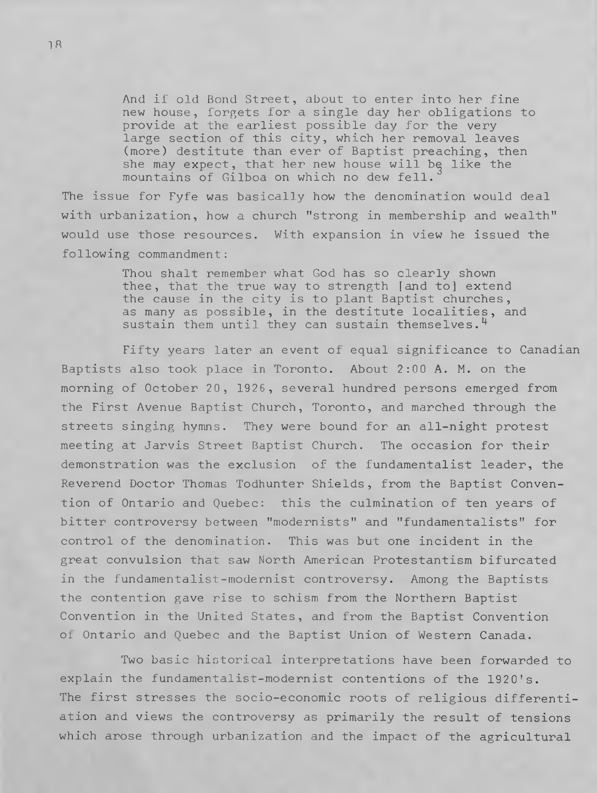And if old Bond Street, about to enter into her fine new house, forgets for a single day her obligations to provide at the earliest possible day for the very large section of this city, which her removal leaves (more) destitute than ever of Baptist preaching, then she may expect, that her new house will be like the mountains of Gilboa on which no dew fell.**3**

The issue for Fyfe was basically how the denomination would deal with urbanization, how a church "strong in membership and wealth" would use those resources. With expansion in view he issued the following commandment:

> Thou shalt remember what God has so clearly shown thee, that the true way to strength [and to] extend the cause in the city is to plant Baptist churches, as many as possible, in the destitute localities, and sustain them until they can sustain themselves.**4**

Fifty years later an event of equal significance to Canadian Baptists also took place in Toronto. About 2:00 A. M. on the morning of October 20, 1926, several hundred persons emerged from the First Avenue Baptist Church, Toronto, and marched through the streets singing hymns. They were bound for an all-night protest meeting at Jarvis Street Baptist Church. The occasion for their demonstration was the exclusion of the fundamentalist leader, the Reverend Doctor Thomas Todhunter Shields, from the Baptist Convention of Ontario and Quebec: this the culmination of ten years of bitter controversy between "modernists" and "fundamentalists" for control of the denomination. This was but one incident in the great convulsion that saw North American Protestantism bifurcated in the fundamentalist-modernist controversy. Among the Baptists the contention gave rise to schism from the Northern Baptist Convention in the United States, and from the Baptist Convention of Ontario and Quebec and the Baptist Union of Western Canada.

Two basic historical interpretations have been forwarded to explain the fundamentalist-modernist contentions of the 1920's. The first stresses the socio-economic roots of religious differentiation and views the controversy as primarily the result of tensions which arose through urbanization and the impact of the agricultural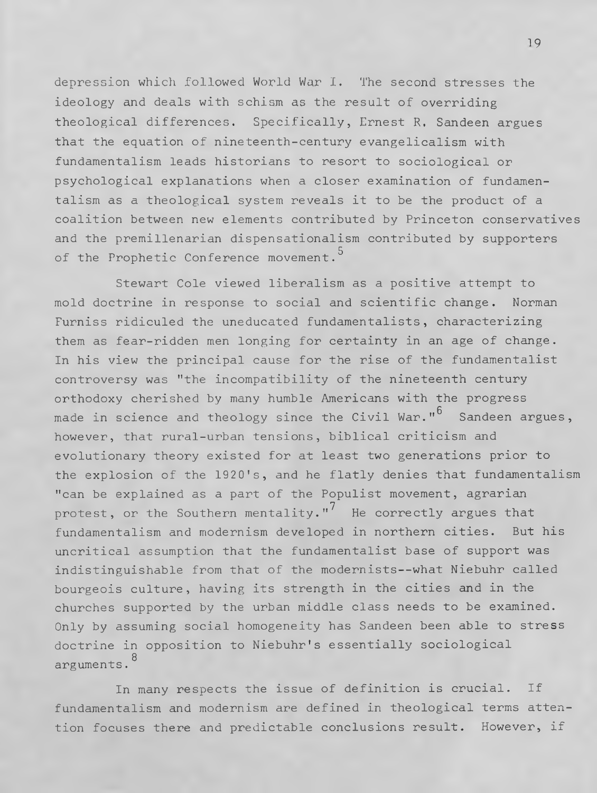depression which followed World War I. The second stresses the ideology and deals with schism as the result of overriding theological differences. Specifically, Ernest R, Sandeen argues that the equation of nineteenth-century evangelicalism with fundamentalism leads historians to resort to sociological or psychological explanations when a closer examination of fundamentalism as a theological system reveals it to be the product of a coalition between new elements contributed by Princeton conservatives and the premillenarian dispensationalism contributed by supporters of the Prophetic Conference movement.<sup>5</sup>

Stewart Cole viewed liberalism as a positive attempt to mold doctrine in response to social and scientific change. Norman Furniss ridiculed the uneducated fundamentalists, characterizing them as fear-ridden men longing for certainty in an age of change. In his view the principal cause for the rise of the fundamentalist controversy was "the incompatibility of the nineteenth century orthodoxy cherished by many humble Americans with the progress made in science and theology since the Civil War."**6** Sandeen argues, however, that rural-urban tensions, biblical criticism and evolutionary theory existed for at least two generations prior to the explosion of the 1920's, and he flatly denies that fundamentalism "can be explained as a part of the Populist movement, agrarian protest, or the Southern mentality."**7** He correctly argues that fundamentalism and modernism developed in northern cities. But his uncritical assumption that the fundamentalist base of support was indistinguishable from that of the modernists--what Niebuhr called bourgeois culture, having its strength in the cities and in the churches supported by the urban middle class needs to be examined. Only by assuming social homogeneity has Sandeen been able to stress doctrine in opposition to Niebuhr's essentially sociological arguments.**8**

In many respects the issue of definition is crucial. If fundamentalism and modernism are defined in theological terms attention focuses there and predictable conclusions result. However, if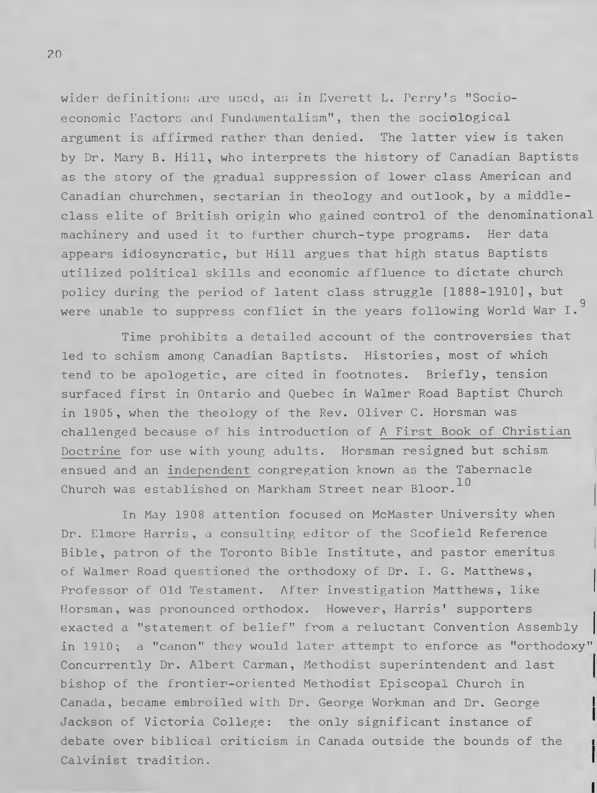wider definitions are used, as in Everett L. Perry's "Socioeconomic Factors and Fundamentalism", then the sociological argument is affirmed rather than denied. The latter view is taken by Dr. Mary B. Hill, who interprets the history of Canadian Baptists as the story of the gradual suppression of lower class American and Canadian churchmen, sectarian in theology and outlook, by a middleclass elite of British origin who gained control of the denominational machinery and used it to further church-type programs. Her data appears idiosyncratic, but Hill argues that high status Baptists utilized political skills and economic affluence to dictate church policy during the period of latent class struggle [1888-1910], but were unable to suppress conflict in the years following World War I. $^9$ 

Time prohibits a detailed account of the controversies that led to schism among Canadian Baptists. Histories, most of which tend to be apologetic, are cited in footnotes. Briefly, tension surfaced first in Ontario and Quebec in Walmer Road Baptist Church in 1905, when the theology of the Rev. Oliver C. Horsman was challenged because of his introduction of A First Book of Christian Doctrine for use with young adults. Horsman resigned but schism ensued and an independent congregation known as the Tabernacle Church was established on Markham Street near Bloor.**10**

In May 1908 attention focused on McMaster University when Dr. Elmore Harris, a consulting editor of the Scofield Reference Bible, patron of the Toronto Bible Institute, and pastor emeritus of Walmer Road questioned the orthodoxy of Dr. I. G. Matthews, Professor of Old Testament. After investigation Matthews, like Horsman, was pronounced orthodox. However, Harris' supporters exacted a "statement of belief" from a reluctant Convention Assembly in 1910; a "canon" they would later attempt to enforce as "orthodoxy" Concurrently Dr. Albert Carman, Methodist superintendent and last bishop of the frontier-oriented Methodist Episcopal Church in Canada, became embroiled with Dr. George Workman and Dr. George Jackson of Victoria College: the only significant instance of debate over biblical criticism in Canada outside the bounds of the Calvinist tradition.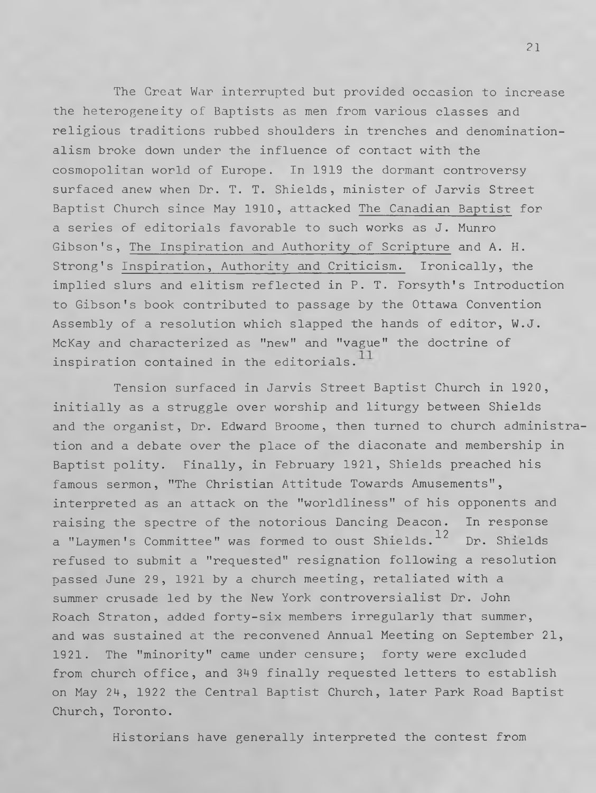The Great War interrupted but provided occasion to increase the heterogeneity of Baptists as men from various classes and religious traditions rubbed shoulders in trenches and denominationalism broke down under the influence of contact with the cosmopolitan world of Europe. In 1919 the dormant controversy surfaced anew when Dr. T. T. Shields, minister of Jarvis Street Baptist Church since May 1910, attacked The Canadian Baptist for a series of editorials favorable to such works as J. Munro Gibson's, The Inspiration and Authority of Scripture and A. H. Strong's Inspiration, Authority and Criticism. Ironically, the implied slurs and elitism reflected in P. T. Forsyth's Introduction to Gibson's book contributed to passage by the Ottawa Convention Assembly of a resolution which slapped the hands of editor, W.J. McKay and characterized as "new" and "vague" the doctrine of inspiration contained in the editorials.**1**

Tension surfaced in Jarvis Street Baptist Church in 1920, initially as a struggle over worship and liturgy between Shields and the organist, Dr. Edward Broome, then turned to church administration and a debate over the place of the diaconate and membership in Baptist polity. Finally, in February 1921, Shields preached his famous sermon, "The Christian Attitude Towards Amusements", interpreted as an attack on the "worldliness" of his opponents and raising the spectre of the notorious Dancing Deacon. In response a "Laymen's Committee" was formed to oust Shields.**12** Dr. Shields refused to submit a "requested" resignation following a resolution passed June 29, 1921 by a church meeting, retaliated with a summer crusade led by the New York controversialist Dr. John Roach Straton, added forty-six members irregularly that summer, and was sustained at the reconvened Annual Meeting on September 21, 1921. The "minority" came under censure; forty were excluded from church office, and 349 finally requested letters to establish on May 24, 1922 the Central Baptist Church, later Park Road Baptist Church, Toronto.

Historians have generally interpreted the contest from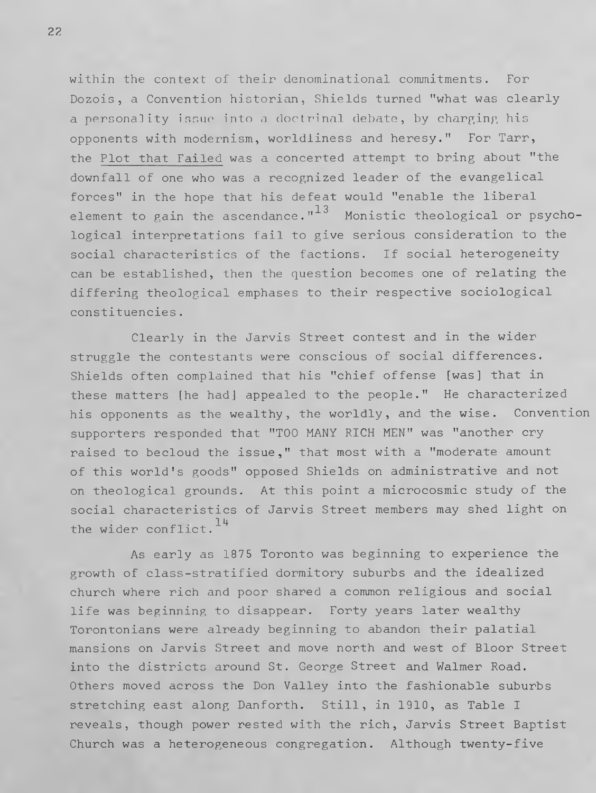within the context of their denominational commitments. For Dozois, a Convention historian, Shields turned "what was clearly a personality issue into a doctrinal debate, by charging his opponents with modernism, worldliness and heresy." For Tarr, the Plot that Failed was a concerted attempt to bring about "the downfall of one who was a recognized leader of the evangelical forces" in the hope that his defeat would "enable the liberal element to gain the ascendance." $13$  Monistic theological or psychological interpretations fail to give serious consideration to the social characteristics of the factions. If social heterogeneity can be established, then the question becomes one of relating the differing theological emphases to their respective sociological constituencies.

Clearly in the Jarvis Street contest and in the wider struggle the contestants were conscious of social differences. Shields often complained that his "chief offense [was] that in these matters [he had] appealed to the people." He characterized his opponents as the wealthy, the worldly, and the wise. Convention supporters responded that "TOO MANY RICH MEN" was "another cry raised to becloud the issue," that most with a "moderate amount of this world's goods" opposed Shields on administrative and not on theological grounds. At this point a microcosmic study of the social characteristics of Jarvis Street members may shed light on the wider conflict. 14

As early as 1875 Toronto was beginning to experience the growth of class-stratified dormitory suburbs and the idealized church where rich and poor shared a common religious and social life was beginning to disappear. Forty years later wealthy Torontonians were already beginning to abandon their palatial mansions on Jarvis Street and move north and west of Bloor Street into the districts around St. George Street and Walmer Road. Others moved across the Don Valley into the fashionable suburbs stretching east along Danforth. Still, in 1910, as Table I reveals, though power rested with the rich, Jarvis Street Baptist Church was a heterogeneous congregation. Although twenty-five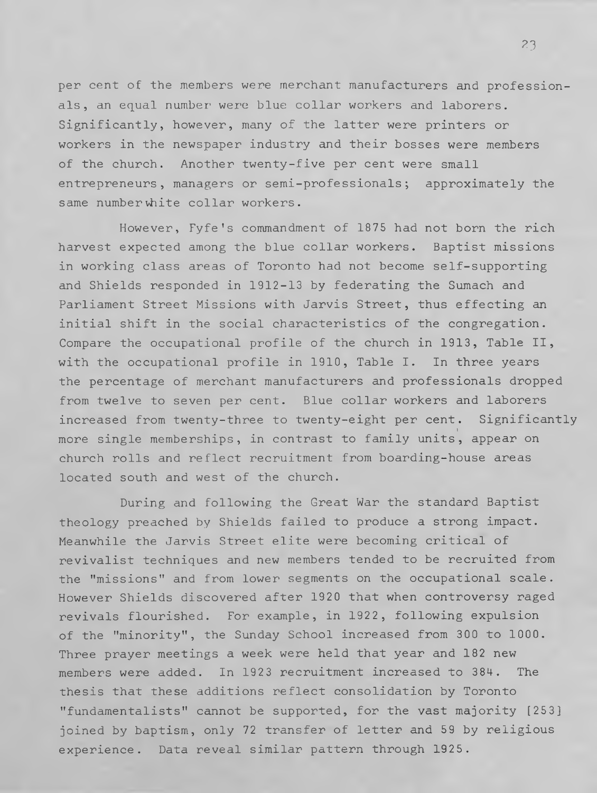per cent of the members were merchant manufacturers and professionals, an equal number were blue collar workers and laborers. Significantly, however, many of the latter were printers or workers in the newspaper industry and their bosses were members of the church. Another twenty-five per cent were small entrepreneurs, managers or semi-professionals; approximately the same number white collar workers.

However, Fyfe's commandment of 1875 had not born the rich harvest expected among the blue collar workers. Baptist missions in working class areas of Toronto had not become self-supporting and Shields responded in 1912-13 by federating the Sumach and Parliament Street Missions with Jarvis Street, thus effecting an initial shift in the social characteristics of the congregation. Compare the occupational profile of the church in 1913, Table II, with the occupational profile in 1910, Table I. In three years the percentage of merchant manufacturers and professionals dropped from twelve to seven per cent. Blue collar workers and laborers increased from twenty-three to twenty-eight per cent. Significantly more single memberships, in contrast to family units, appear on church rolls and reflect recruitment from boarding-house areas located south and west of the church.

During and following the Great War the standard Baptist theology preached by Shields failed to produce a strong impact. Meanwhile the Jarvis Street elite were becoming critical of revivalist techniques and new members tended to be recruited from the "missions" and from lower segments on the occupational scale. However Shields discovered after 1920 that when controversy raged revivals flourished. For example, in 1922, following expulsion of the "minority", the Sunday School increased from 300 to 1000. Three prayer meetings a week were held that year and 182 new members were added. In 1923 recruitment increased to 384. The thesis that these additions reflect consolidation by Toronto "fundamentalists" cannot be supported, for the vast majority [253] joined by baptism, only 72 transfer of letter and 59 by religious experience. Data reveal similar pattern through 1925.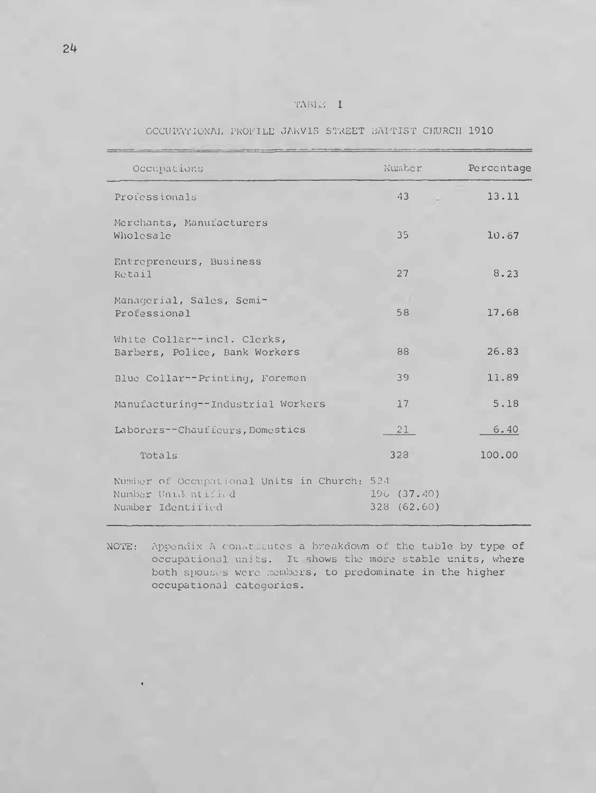| TABLE |  | L |
|-------|--|---|
|       |  |   |

OCCUPATIONAL PROFILE JARVIS STREET BAPTIST CHURCH 1910

| Occupations                                                                             | Number                    | Percentage |
|-----------------------------------------------------------------------------------------|---------------------------|------------|
| Professionals                                                                           | 43                        | 13.11      |
| Merchants, Manufacturers<br>Wholesale                                                   | 35                        | 10.67      |
| Entrepreneurs, Business<br>Retail                                                       | 27                        | 8.23       |
| Managerial, Sales, Semi-<br>Professional                                                | 58                        | 17.68      |
| White Collar--incl. Clerks,<br>Barbers, Police, Bank Workers                            | 88                        | 26.83      |
| Blue Collar--Printing, Foremen                                                          | 39                        | 11.89      |
| Manufacturing--Industrial Workers                                                       | 17                        | 5.18       |
| Laborers--Chauffeurs, Domestics                                                         | 21                        | 6.40       |
| Totals                                                                                  | 328                       | 100.00     |
| Number of Occupational Units in Church: 524<br>Number Unidentified<br>Number Identified | 196(37.40)<br>328 (62.60) |            |

NOTE: Appendix A constitutes a breakdown of the table by type of **occupational units. It shows the more stable units, where both spouses were members, to predominate in the higher occupational categories.**

«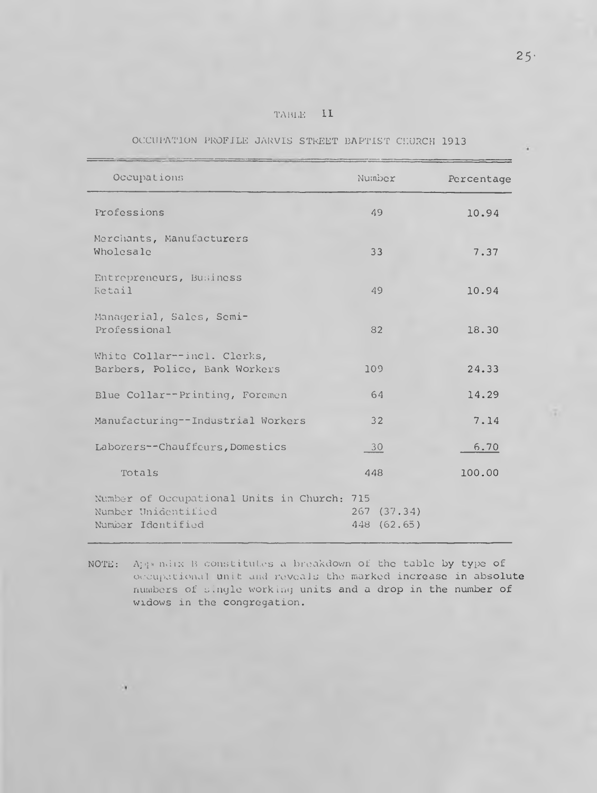|  |  | тавик | IJ |  |
|--|--|-------|----|--|
|  |  |       |    |  |

| Occupations                                                                             | Number                    | Percentage |
|-----------------------------------------------------------------------------------------|---------------------------|------------|
| Professions                                                                             | 49                        | 10.94      |
| Merchants, Manufacturers<br>Wholesale                                                   | 33                        | 7.37       |
| Entrepreneurs, Business<br>Retail                                                       | 49                        | 10.94      |
| Managerial, Sales, Semi-<br>Professional                                                | 82                        | 18.30      |
| White Collar--incl. Clerks,<br>Barbers, Police, Bank Workers                            | 109                       | 24.33      |
| Blue Collar--Printing, Foremen                                                          | 64                        | 14.29      |
| Manufacturing--Industrial Workers                                                       | 32                        | 7.14       |
| Laborers--Chauffeurs, Domestics                                                         | 30                        | 6.70       |
| Totals                                                                                  | 448                       | 100.00     |
| Number of Occupational Units in Church: 715<br>Number Unidentified<br>Number Identified | 267(37.34)<br>448 (62.65) |            |

## OCCUPATION PROFILE JARVIS STREET BAPTIST CHURCH 1913

**NOTE: Appendix B constitutes a breakdown of the table by type of occupational unit and reveals the marked increase in absolute numbers of single working units and a drop in the number of widows in the congregation.**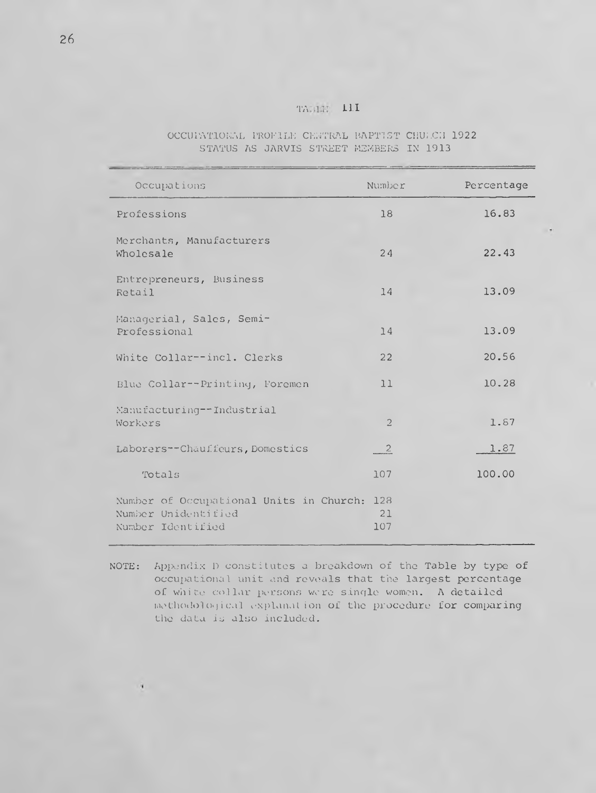## TABLE III

|  |  | OCCUPATIONAL PROFILE CENTRAL BAPTIST CHULCH 1922. |  |  |
|--|--|---------------------------------------------------|--|--|
|  |  | STATUS AS JARVIS STREET MEMBERS IN 1913           |  |  |

| Occupations                                                                         | Number           | Percentage |
|-------------------------------------------------------------------------------------|------------------|------------|
| Professions                                                                         | 18               | 16.83      |
| Merchants, Manufacturers<br>Wholesale                                               | 24               | 22.43      |
| Entrepreneurs, Business<br>Retail                                                   | 14               | 13.09      |
| Managerial, Sales, Semi-<br>Professional                                            | 14               | 13.09      |
| White Collar--incl. Clerks                                                          | 22               | 20.56      |
| Blue Collar--Printing, Foremen                                                      | 11               | 10.28      |
| Manufacturing--Industrial<br>Workers                                                | $\overline{2}$   | 1.87       |
| Laborers--Chauffeurs, Domestics                                                     | $\overline{2}$   | 1.87       |
| Totals                                                                              | 107              | 100.00     |
| Number of Occupational Units in Church:<br>Number Unidentified<br>Number Identified | 128<br>21<br>107 |            |

**NOTE: Appendix D constitutes a breakdown of the Table by type of occupational unit and reveals that the largest percentage of white collar persons ware s ingle women. A detailed methodological explanation of the procedure for comparing the data is also included.**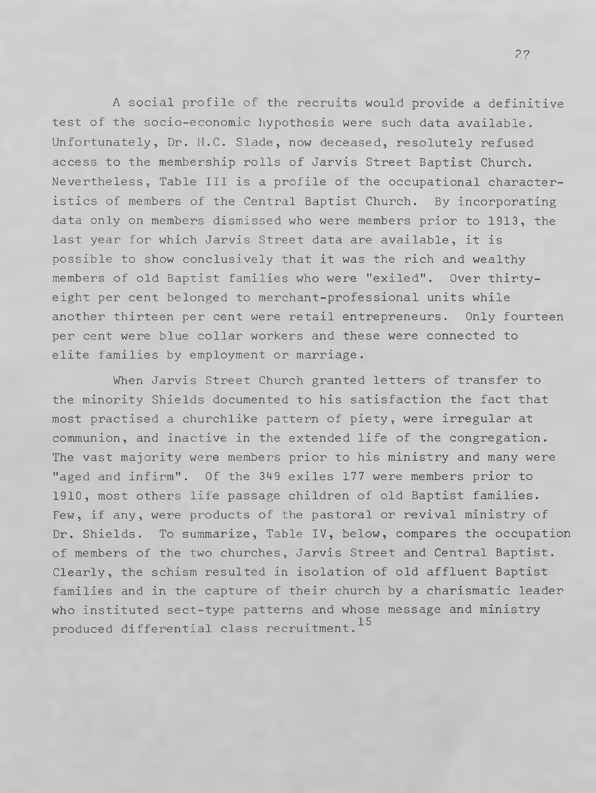A social profile of the recruits would provide a definitive test of the socio-economic hypothesis were such data available. Unfortunately, Dr. H.C. Slade, now deceased, resolutely refused access to the membership rolls of Jarvis Street Baptist Church. Nevertheless, Table III is a profile of the occupational characteristics of members of the Central Baptist Church. By incorporating data only on members dismissed who were members prior to 1913, the last year for which Jarvis Street data are available, it is possible to show conclusively that it was the rich and wealthy members of old Baptist families who were "exiled". Over thirtyeight per cent belonged to merchant-professional units while another thirteen per cent were retail entrepreneurs. Only fourteen per cent were blue collar workers and these were connected to elite families by employment or marriage.

When Jarvis Street Church granted letters of transfer to the minority Shields documented to his satisfaction the fact that most practised a churchlike pattern of piety, were irregular at communion, and inactive in the extended life of the congregation. The vast majority were members prior to his ministry and many were "aged and infirm". Of the 349 exiles 177 were members prior to 1910, most others life passage children of old Baptist families. Few, if any, were products of the pastoral or revival ministry of Dr. Shields. To summarize, Table IV, below, compares the occupation of members of the two churches, Jarvis Street and Central Baptist. Clearly, the schism resulted in isolation of old affluent Baptist families and in the capture of their church by a charismatic leader who instituted sect-type patterns and whose message and ministry produced differential class recruitment.**15**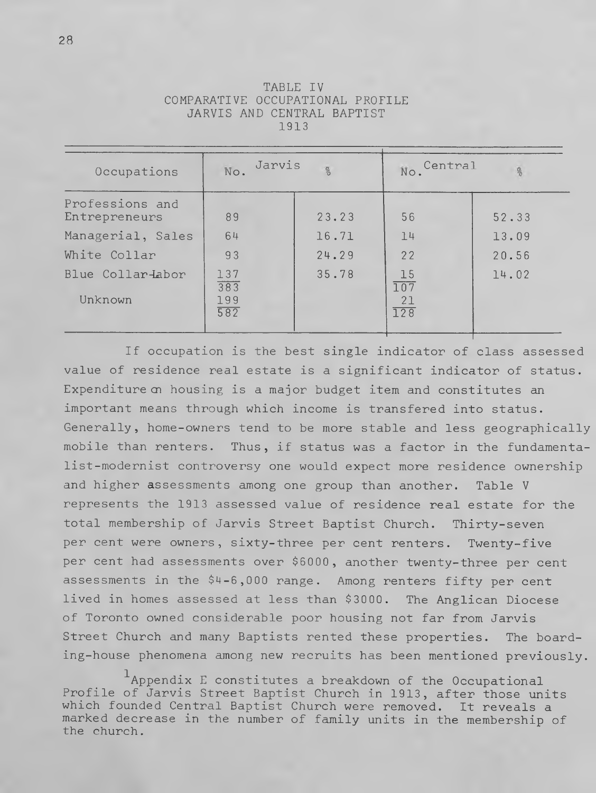| Occupations                      | Jarvis<br>No.            | $\frac{a}{\delta}$ | Central<br>No.                                   | 8     |
|----------------------------------|--------------------------|--------------------|--------------------------------------------------|-------|
| Professions and<br>Entrepreneurs | 89                       | 23.23              | 56                                               | 52.33 |
| Managerial, Sales                | 64                       | 16.71              | 14                                               | 13.09 |
| White Collar                     | 93                       | 24.29              | 22                                               | 20.56 |
| Blue Collar-Labor<br>Unknown     | 137<br>383<br>199<br>582 | 35.78              | 15<br>$\overline{107}$<br>21<br>$\overline{128}$ | 14.02 |

TABLE IV COMPARATIVE OCCUPATIONAL PROFILE JARVIS AND CENTRAL BAPTIST 1913

If occupation is the best single indicator of class assessed value of residence real estate is a significant indicator of status. Expenditure on housing is a major budget item and constitutes an important means through which income is transfered into status. Generally, home-owners tend to be more stable and less geographically mobile than renters. Thus, if status was a factor in the fundamentalist-modernist controversy one would expect more residence ownership and higher assessments among one group than another. Table V represents the 1913 assessed value of residence real estate for the total membership of Jarvis Street Baptist Church. Thirty-seven per cent were owners, sixty-three per cent renters. Twenty-five per cent had assessments over \$6000, another twenty-three per cent assessments in the \$4-6,000 range. Among renters fifty per cent lived in homes assessed at less than \$3000. The Anglican Diocese of Toronto owned considerable poor housing not far from Jarvis Street Church and many Baptists rented these properties. The boarding-house phenomena among new recruits has been mentioned previously.

**1**Appendix E constitutes a breakdown of the Occupational Profile of Jarvis Street Baptist Church in 1913, after those units which founded Central Baptist Church were removed. It reveals a marked decrease in the number of family units in the membership of the church.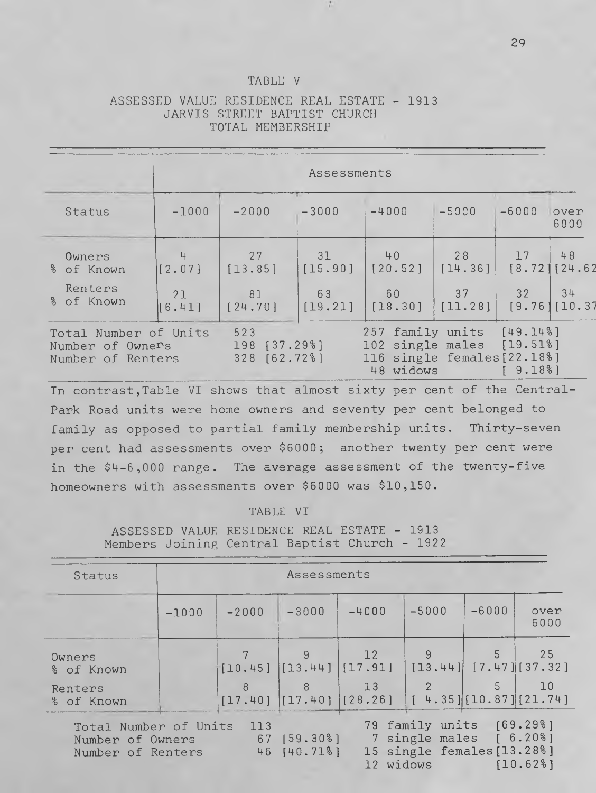### TABLE V

## ASSESSED VALUE RESIDENCE REAL ESTATE - 1913 JARVIS STREET BAPTIST CHURCH TOTAL MEMBERSHIP

|                                                                |              |                                     | Assessments   |                                                                                  |               |                                 |                     |
|----------------------------------------------------------------|--------------|-------------------------------------|---------------|----------------------------------------------------------------------------------|---------------|---------------------------------|---------------------|
| Status                                                         | $-1000$      | $-2000$                             | $-3000$       | $-4000$                                                                          | $-5000$       | $-6000$                         | over<br>6000        |
| Owners<br>% of Known                                           | 4<br>[2.07]  | 27<br>[13.85]                       | 31<br>[15.90] | 40<br>[20.52]                                                                    | 28<br>[14.36] | 17                              | 48<br>[8.72][24.62] |
| Renters<br>% of Known                                          | 21<br>[6.41] | 81<br>[24.70]                       | 63<br>[19.21] | 60<br>$[18.30]$ $[11.28]$                                                        | 37            | 32                              | 34<br>[9.76][10.37] |
| Total Number of Units<br>Number of Owners<br>Number of Renters |              | 523<br>198 [37.29%]<br>328 [62.72%] |               | 257 family units<br>102 single males<br>116 single females [22.18%]<br>48 widows |               | [49.148]<br>[19.518]<br>[9.188] |                     |

In contrast, Table VI shows that almost sixty per cent of the Central-Park Road units were home owners and seventy per cent belonged to family as opposed to partial family membership units. Thirty-seven per cent had assessments over \$6000; another twenty per cent were in the \$4-6,000 range. The average assessment of the twenty-five homeowners with assessments over \$6000 was \$10,150.

#### TABLE VI

ASSESSED VALUE RESIDENCE REAL ESTATE - 1913 Members Joining Central Baptist Church - 1922

| Status                                                                                                                                                                                                              | Assessments |         |               |                                     |                                       |         |                                    |
|---------------------------------------------------------------------------------------------------------------------------------------------------------------------------------------------------------------------|-------------|---------|---------------|-------------------------------------|---------------------------------------|---------|------------------------------------|
|                                                                                                                                                                                                                     | $-1000$     | $-2000$ | $-3000$       | $-4000$                             | $-5000$                               | $-6000$ | over<br>6000                       |
| Owners<br>% of Known                                                                                                                                                                                                |             | [10.45] | -9            | 12<br>$[13.44]$ $[17.91]$           | 9                                     | 5       | 25<br>$[13.44]$ $[7.47]$ $[37.32]$ |
| Renters<br>% of Known                                                                                                                                                                                               |             | 8       | $\mathcal{R}$ | 13<br>$[17.40]$ $[17.40]$ $[28.26]$ | $\mathcal{P}$<br>[4.35][10.87][21.74] |         | 10                                 |
| 79 family units [69.29%]<br>113<br>Total Number of Units<br>7 single males [ 6.20%]<br>$67$ [59.30%]<br>Number of Owners<br>15 single females [13.28%]<br>46 [40.71%]<br>Number of Renters<br>12 widows<br>[10.628] |             |         |               |                                     |                                       |         |                                    |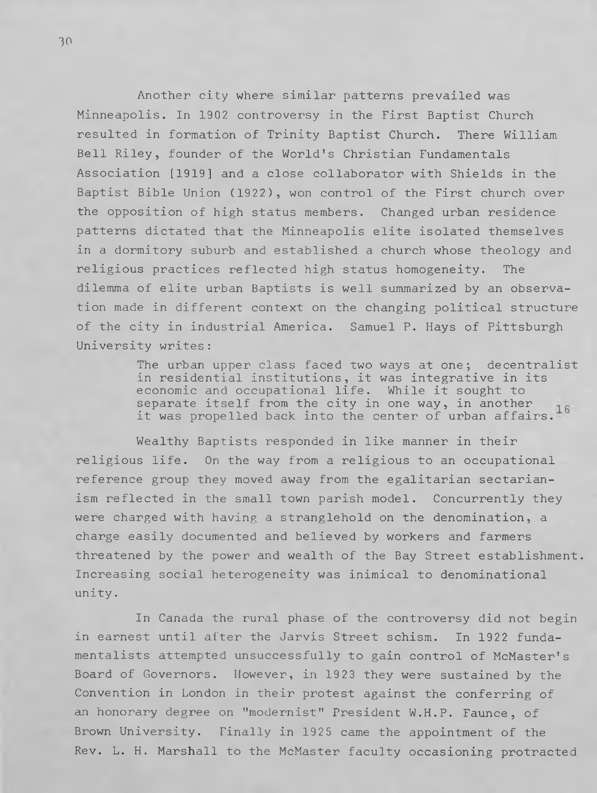Another city where similar patterns prevailed was Minneapolis. In 1902 controversy in the First Baptist Church resulted in formation of Trinity Baptist Church. There William Bell Riley, founder of the World's Christian Fundamentals Association [1919] and a close collaborator with Shields in the Baptist Bible Union (1922), won control of the First church over the opposition of high status members. Changed urban residence patterns dictated that the Minneapolis elite isolated themselves in a dormitory suburb and established a church whose theology and religious practices reflected high status homogeneity. The dilemma of elite urban Baptists is well summarized by an observation made in different context on the changing political structure of the city in industrial America. Samuel P. Hays of Pittsburgh University writes:

> The urban upper class faced two ways at one; decentralist in residential institutions, it was integrative in its economic and occupational life. While it sought to separate itself from the city in one way, in another it was propelled back into the center of urban affairs.**16**

Wealthy Baptists responded in like manner in their religious life. On the way from a religious to an occupational reference group they moved away from the egalitarian sectarianism reflected in the small town parish model. Concurrently they were charged with having a stranglehold on the denomination, a charge easily documented and believed by workers and farmers threatened by the power and wealth of the Bay Street establishment. Increasing social heterogeneity was inimical to denominational unity.

In Canada the rural phase of the controversy did not begin in earnest until after the Jarvis Street schism. In 1922 fundamentalists attempted unsuccessfully to gain control of McMaster's Board of Governors. However, in 1923 they were sustained by the Convention in London in their protest against the conferring of an honorary degree on "modernist" President W.H.P. Faunce, of Brown University. Finally in 1925 came the appointment of the Rev. L. H. Marshall to the McMaster faculty occasioning protracted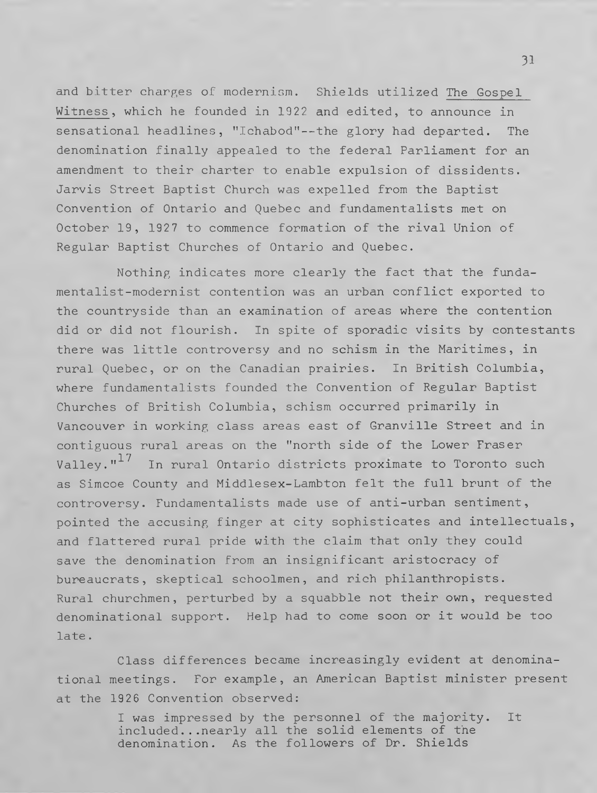and bitter charges of modernism. Shields utilized The Gospel Witness, which he founded in 1922 and edited, to announce in sensational headlines, "Ichabod"--the glory had departed. The denomination finally appealed to the federal Parliament for an amendment to their charter to enable expulsion of dissidents. Jarvis Street Baptist Church was expelled from the Baptist Convention of Ontario and Quebec and fundamentalists met on October 19, 1927 to commence formation of the rival Union of Regular Baptist Churches of Ontario and Quebec.

Nothing indicates more clearly the fact that the fundamentalist-modernist contention was an urban conflict exported to the countryside than an examination of areas where the contention did or did not flourish. In spite of sporadic visits by contestants there was little controversy and no schism in the Maritimes, in rural Quebec, or on the Canadian prairies. In British Columbia, where fundamentalists founded the Convention of Regular Baptist Churches of British Columbia, schism occurred primarily in Vancouver in working class areas east of Granville Street and in contiguous rural areas on the "north side of the Lower Fraser Valley."<sup>17</sup> In rural Ontario districts proximate to Toronto such as Simcoe County and Middlesex-Lambton felt the full brunt of the controversy. Fundamentalists made use of anti-urban sentiment, pointed the accusing finger at city sophisticates and intellectuals, and flattered rural pride with the claim that only they could save the denomination from an insignificant aristocracy of bureaucrats, skeptical schoolmen, and rich philanthropists. Rural churchmen, perturbed by a squabble not their own, requested denominational support. Help had to come soon or it would be too late.

Class differences became increasingly evident at denominational meetings. For example, an American Baptist minister present at the 1926 Convention observed:

> I was impressed by the personnel of the majority. It included...nearly all the solid elements of the denomination. As the followers of Dr. Shields

**31**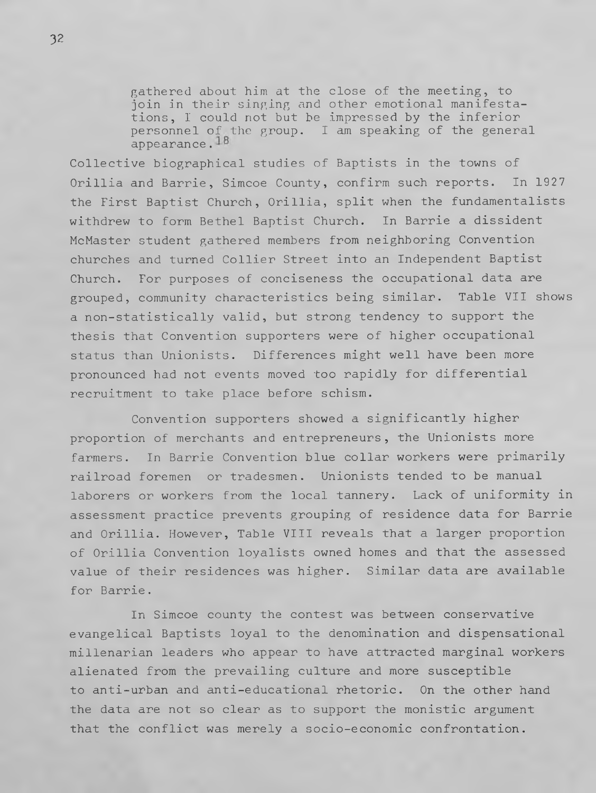gathered about him at the close of the meeting, to join in their singing and other emotional manifestations, I could not but be impressed by the inferior personnel of the group. I am speaking of the general appearance.<sup>18</sup>

Collective biographical studies of Baptists in the towns of Orillia and Barrie, Simcoe County, confirm such reports. In 1927 the First Baptist Church, Orillia, split when the fundamentalists withdrew to form Bethel Baptist Church. In Barrie a dissident McMaster student gathered members from neighboring Convention churches and turned Collier Street into an Independent Baptist Church. For purposes of conciseness the occupational data are grouped, community characteristics being similar. Table VII shows a non-statistically valid, but strong tendency to support the thesis that Convention supporters were of higher occupational status than Unionists. Differences might well have been more pronounced had not events moved too rapidly for differential recruitment to take place before schism.

Convention supporters showed a significantly higher proportion of merchants and entrepreneurs, the Unionists more farmers. In Barrie Convention blue collar workers were primarily railroad foremen or tradesmen. Unionists tended to be manual laborers or workers from the local tannery. Lack of uniformity in assessment practice prevents grouping of residence data for Barrie and Orillia. However, Table VIII reveals that a larger proportion of Orillia Convention loyalists owned homes and that the assessed value of their residences was higher. Similar data are available for Barrie.

In Simcoe county the contest was between conservative evangelical Baptists loyal to the denomination and dispensational millenarian leaders who appear to have attracted marginal workers alienated from the prevailing culture and more susceptible to anti-urban and anti-educational rhetoric. On the other hand the data are not so clear as to support the monistic argument that the conflict was merely a socio-economic confrontation.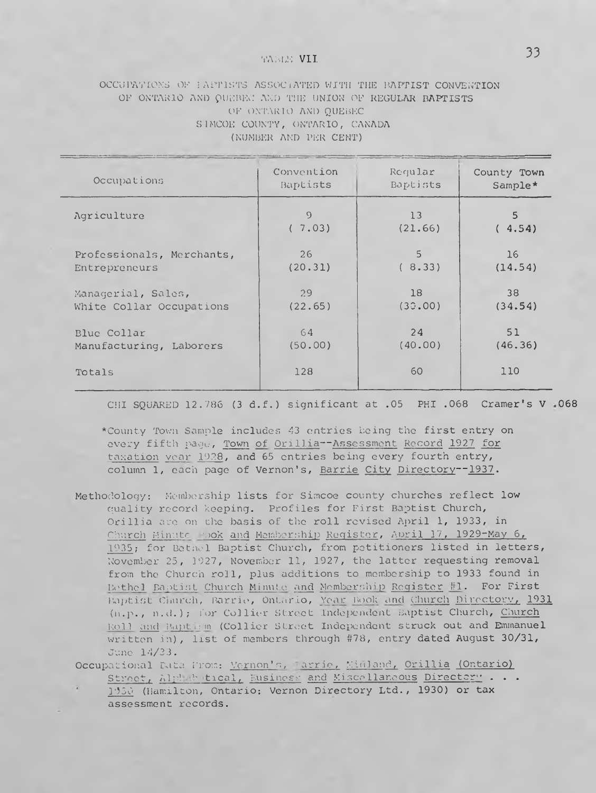# TABLE **VII 33**

## OCCUPATIONS OF FAPTISTS ASSOCIATED WITH THE BAPTIST CONVENTION **OF ONTARIO AND QUEBEC AND THE UNION OF REGULAR BAPTISTS OF ONTARIO AND QUEBEC SIMCOE COUNTY, ONTARIO, CANADA (NUMBER AND PER CENT)**

| Occupations               | Convention | Reqular  | County Town |
|---------------------------|------------|----------|-------------|
|                           | Baptists   | Baptists | Sample*     |
| Agriculture               | $\Omega$   | 13       | 5           |
|                           | (7.03)     | (21.66)  | (4.54)      |
| Professionals, Merchants, | 26         | 5        | 16          |
| Entrepreneurs             | (20.31)    | (8.33)   | (14.54)     |
| Managerial, Sales,        | 29         | 18       | 38          |
| White Collar Occupations  | (22.65)    | (30.00)  | (34.54)     |
| Blue Collar               | 64         | 24       | 51          |
| Manufacturing, Laborers   | (50.00)    | (40.00)  | (46.36)     |
| Totals                    | 128        | 60       | 110         |

**CHI SQUARED 12.786 (3 d.f.) significant at .05 PHI .068 Cramer's V .068**

\***County Town Sample includes 43 entries being the first entry on every fifth page, Town of Orillia--Assessment Record 1927 for taxation year 1928, and 65 entries being every fourth entry, column 1, each page of Vernon's, Barrie City Directory-- 1937.**

**Methodology: Membership lists for Simcoe county churches reflect low quality record keeping. Profiles for First Baptist Church, Orillia are on the basis of the roll revised April 1, 1933, in Church Minute Book and Membership Register, April 17, 1929-May 6,** 1**935; for Bethel Baptist Church, from petitioners listed in letters, November 25, 1927, November 11, 1927, the latter requesting removal from the Church roll, plus additions to membership to 1933 found in** Bethel Baptist Church Minute and Membership Register #1. For First **Baptist Church, Barrie, Ontario, Year Book and Church Directory, 1931 (n.p ., n .d .) ; for Collier Street Independent Baptist Church, Church Rol1 and Baptism (Collier Street Independent struck out and Emmanuel written in), list of members through #78, entry dated August 30/31, June 14/33.**

**Occupational Data From; Vernon's, Barrie, Midland, Orillia (Ontario) Street, Alphabetical, Business, and Miscellaneous Directory . . .**

**1930** (Hamilton, **Ontario: Vernon Directory Ltd.,** 1930) or tax **assessment records.**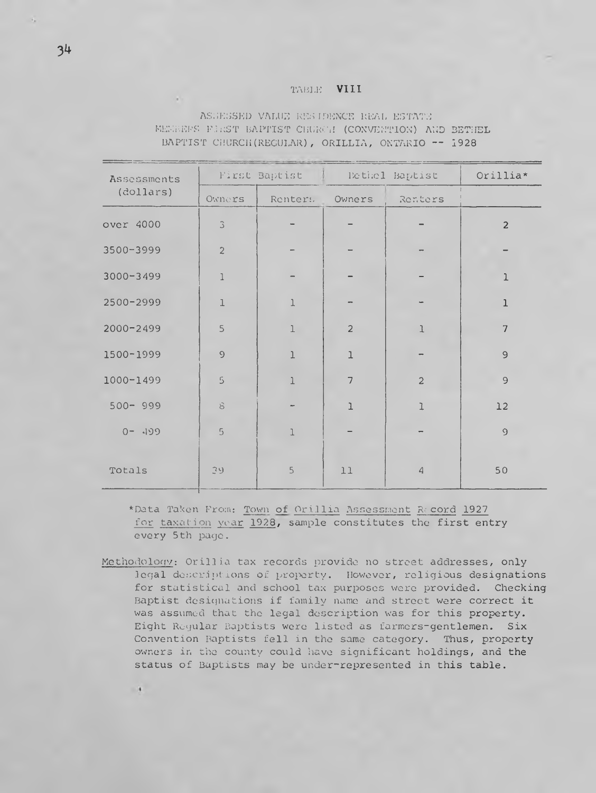#### **TA BLE** VIII

**ASSESSED VALUE RESIDENCE REAL ESTATE MEMBERS FIRST BAPTIST CHURCH (CONVENTION) AND BETHEL BAPTIST CHURCH(REGULAR), ORILLIA, ONTARIO -- 1928**

| Assessments   |                | First Baptist  |                | Rethel Baptist | $Or$ illia*    |
|---------------|----------------|----------------|----------------|----------------|----------------|
| (dollars)     | Owners         | Renter:        | Owners         | Renters        |                |
| over 4000     | $\mathfrak I$  |                |                |                | $\overline{2}$ |
| 3500-3999     | $\overline{c}$ |                |                |                |                |
| 3000-3499     | $\mathbf 1$    |                |                |                | $\mathbf{1}$   |
| 2500-2999     | $\mathbf 1$    | $\mathbf 1$    |                |                | $\mathbf 1$    |
| $2000 - 2499$ | 5              | l              | $\overline{c}$ | 1              | $\overline{7}$ |
| 1500-1999     | $\Theta$       | $\mathbf 1$    | l              |                | $\mathsf{S}$   |
| 1000-1499     | 5              | $\overline{1}$ | 7              | $\overline{c}$ | 9              |
| $500 - 999$   | $\mathbf S$    |                | $\mathbf{I}$   | $\mathbf{I}$   | 12             |
| $0 - 199$     | $\overline{5}$ | $\mathbf 1$    |                |                | $\mathcal{O}$  |
| Totals        | 39             | 5              | 11             | $\overline{4}$ | 50             |

**\*Data Taken From; Town of Orillia Assessment Record 1927 for taxation year 1928, sample constitutes the first entry every 5th page.**

**Methodology: Oril1i a tax records provide no street addresses, only legal descriptions of property. However, religious designations for statistical and school tax purposes were provided. Checking Baptist designations if family name and street were correct it was assumed that the legal description was for this property. Eight Regular Baptists were listed as farmers-gentlemen. Six Convention Baptists fell in the same category. Thus, property owners in the county could have significant holdings, and the status of Baptists may be under-represented in this table.**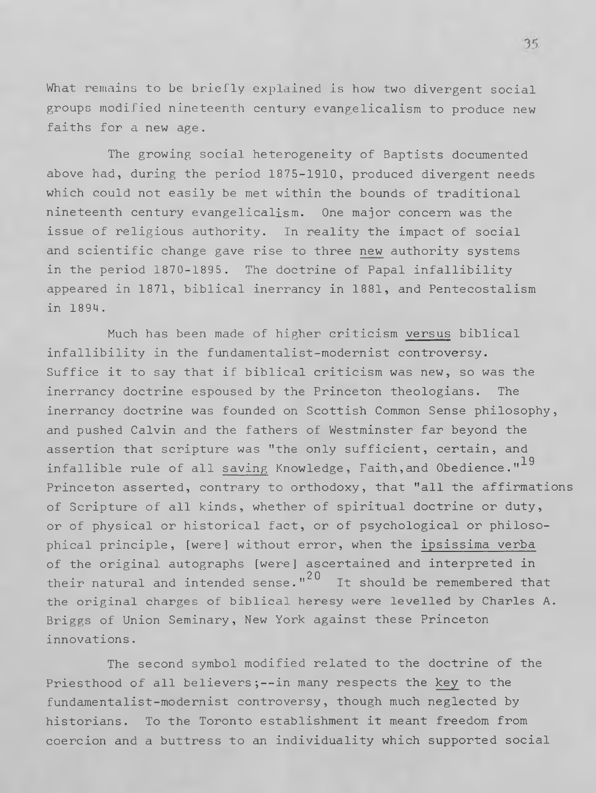What remains to be briefly explained is how two divergent social groups modified nineteenth century evangelicalism to produce new faiths for a new age.

The growing social heterogeneity of Baptists documented above had, during the period 1875-1910, produced divergent needs which could not easily be met within the bounds of traditional nineteenth century evangelicalism. One major concern was the issue of religious authority. In reality the impact of social and scientific change gave rise to three new authority systems in the period 1870-1895. The doctrine of Papal infallibility appeared in 1871, biblical inerrancy in 1881, and Pentecostalism in 1894.

Much has been made of higher criticism versus biblical infallibility in the fundamentalist-modernist controversy. Suffice it to say that if biblical criticism was new, so was the inerrancy doctrine espoused by the Princeton theologians. The inerrancy doctrine was founded on Scottish Common Sense philosophy, and pushed Calvin and the fathers of Westminster far beyond the assertion that scripture was "the only sufficient, certain, and infallible rule of all saving Knowledge, Faith, and Obedience."<sup>19</sup> Princeton asserted, contrary to orthodoxy, that "all the affirmations of Scripture of all kinds, whether of spiritual doctrine or duty, or of physical or historical fact, or of psychological or philosophical principle, [were] without error, when the ipsissima verba of the original autographs [were] ascertained and interpreted in their natural and intended sense."<sup>20</sup> It should be remembered that the original charges of biblical heresy were levelled by Charles A. Briggs of Union Seminary, New York against these Princeton innovations.

The second symbol modified related to the doctrine of the Priesthood of all believers;--in many respects the key to the fundamentalist-modernist controversy, though much neglected by historians. To the Toronto establishment it meant freedom from coercion and a buttress to an individuality which supported social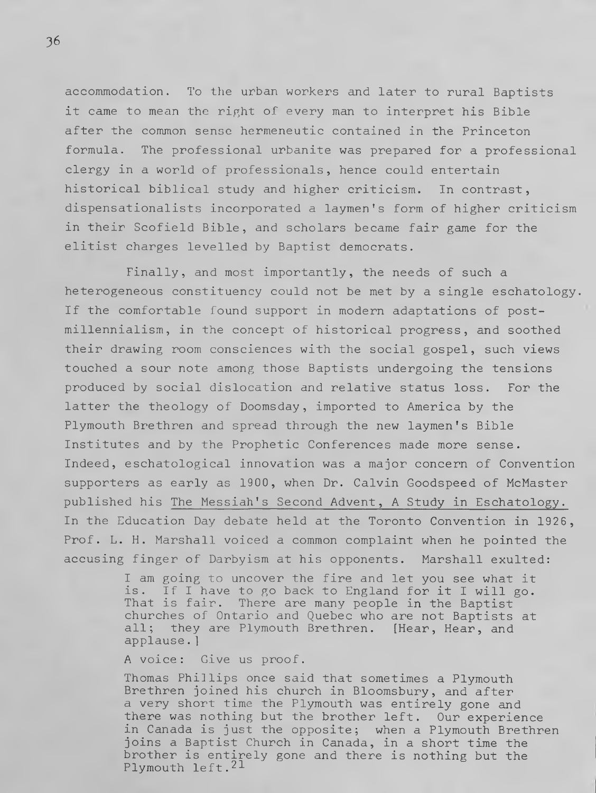accommodation. To the urban workers and later to rural Baptists it came to mean the right of every man to interpret his Bible after the common sense hermeneutic contained in the Princeton formula. The professional urbanite was prepared for a professional clergy in a world of professionals, hence could entertain historical biblical study and higher criticism. In contrast, dispensationalists incorporated a laymen's form of higher criticism in their Scofield Bible, and scholars became fair game for the elitist charges levelled by Baptist democrats.

Finally, and most importantly, the needs of such a heterogeneous constituency could not be met by a single eschatology. If the comfortable found support in modern adaptations of postmillennialism, in the concept of historical progress, and soothed their drawing room consciences with the social gospel, such views touched a sour note among those Baptists undergoing the tensions produced by social dislocation and relative status loss. For the latter the theology of Doomsday, imported to America by the Plymouth Brethren and spread through the new laymen's Bible Institutes and by the Prophetic Conferences made more sense. Indeed, eschatological innovation was a major concern of Convention supporters as early as 1900, when Dr. Calvin Goodspeed of McMaster published his The Messiah's Second Advent, A Study in Eschatology. In the Education Day debate held at the Toronto Convention in 1926, Prof. L. H. Marshall voiced a common complaint when he pointed the accusing finger of Darbyism at his opponents. Marshall exulted:

> I am going to uncover the fire and let you see what it is. If I have to go back to England for it I will go. That is fair. There are many people in the Baptist churches of Ontario and Quebec who are not Baptists at all; they are Plymouth Brethren. [Hear, Hear, and applause.]

A voice: Give us proof.

Thomas Phillips once said that sometimes a Plymouth Brethren joined his church in Bloomsbury, and after a very short time the Plymouth was entirely gone and there was nothing but the brother left. Our experience in Canada is just the opposite; when a Plymouth Brethren joins a Baptist Church in Canada, in a short time the brother is entirely gone and there is nothing but the Plymouth left. $^{21}$ 

**36**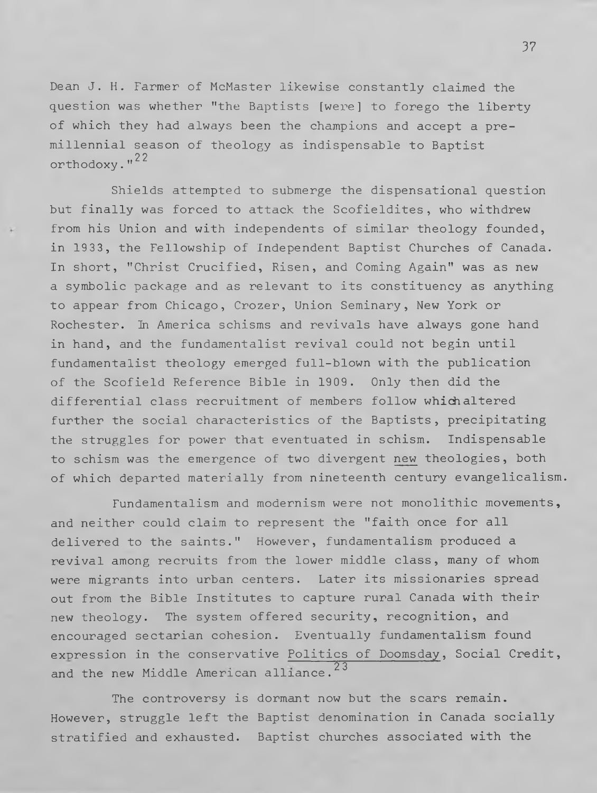Dean J. H. Farmer of McMaster likewise constantly claimed the question was whether "the Baptists [were] to forego the liberty of which they had always been the champions and accept a premillennial season of theology as indispensable to Baptist orthodoxy."<sup>22</sup>

Shields attempted to submerge the dispensational question but finally was forced to attack the Scofieldites, who withdrew from his Union and with independents of similar theology founded, in 1933, the Fellowship of Independent Baptist Churches of Canada. In short, "Christ Crucified, Risen, and Coming Again" was as new a symbolic package and as relevant to its constituency as anything to appear from Chicago, Crozer, Union Seminary, New York or Rochester. In America schisms and revivals have always gone hand in hand, and the fundamentalist revival could not begin until fundamentalist theology emerged full-blown with the publication of the Scofield Reference Bible in 1909. Only then did the differential class recruitment of members follow which altered further the social characteristics of the Baptists, precipitating the struggles for power that eventuated in schism. Indispensable to schism was the emergence of two divergent new theologies, both of which departed materially from nineteenth century evangelicalism.

Fundamentalism and modernism were not monolithic movements, and neither could claim to represent the "faith once for all delivered to the saints." However, fundamentalism produced a revival among recruits from the lower middle class, many of whom were migrants into urban centers. Later its missionaries spread out from the Bible Institutes to capture rural Canada with their new theology. The system offered security, recognition, and encouraged sectarian cohesion. Eventually fundamentalism found expression in the conservative Politics of Doomsday, Social Credit, and the new Middle American alliance.<sup>23</sup>

The controversy is dormant now but the scars remain. However, struggle left the Baptist denomination in Canada socially stratified and exhausted. Baptist churches associated with the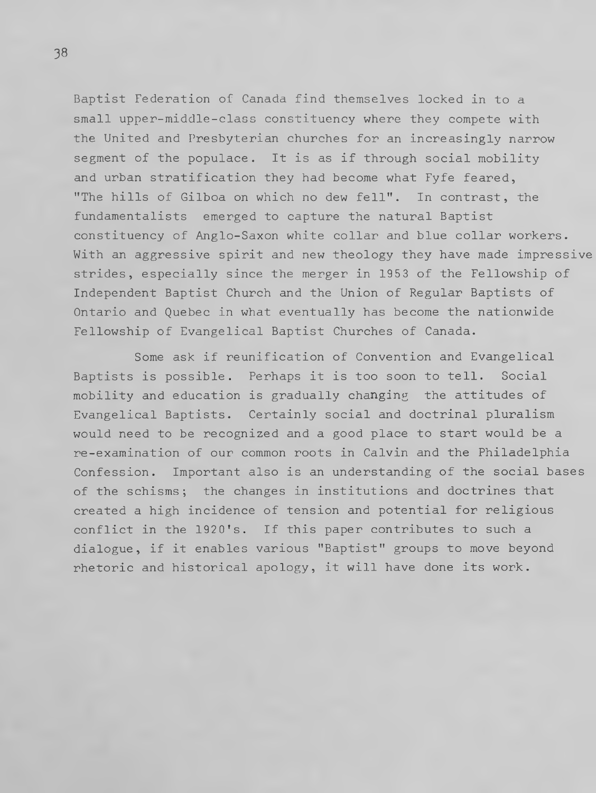Baptist Federation of Canada find themselves locked in to a small upper-middle-class constituency where they compete with the United and Presbyterian churches for an increasingly narrow segment of the populace. It is as if through social mobility and urban stratification they had become what Fyfe feared, "The hills of Gilboa on which no dew fell". In contrast, the fundamentalists emerged to capture the natural Baptist constituency of Anglo-Saxon white collar and blue collar workers. With an aggressive spirit and new theology they have made impressive strides, especially since the merger in 1953 of the Fellowship of Independent Baptist Church and the Union of Regular Baptists of Ontario and Quebec in what eventually has become the nationwide Fellowship of Evangelical Baptist Churches of Canada.

Some ask if reunification of Convention and Evangelical Baptists is possible. Perhaps it is too soon to tell. Social mobility and education is gradually changing the attitudes of Evangelical Baptists. Certainly social and doctrinal pluralism would need to be recognized and a good place to start would be a re-examination of our common roots in Calvin and the Philadelphia Confession. Important also is an understanding of the social bases of the schisms; the changes in institutions and doctrines that created a high incidence of tension and potential for religious conflict in the 1920's. If this paper contributes to such a dialogue, if it enables various "Baptist" groups to move beyond rhetoric and historical apology, it will have done its work.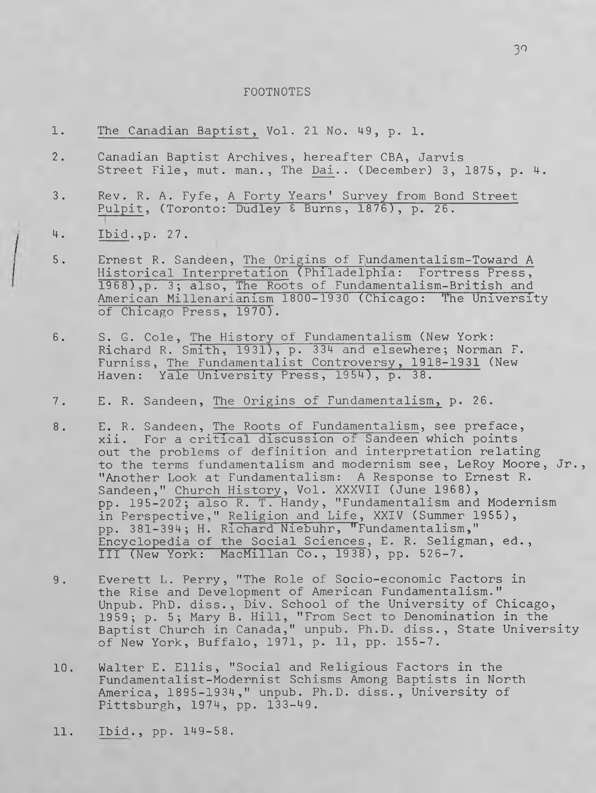#### FOOTNOTES

- 1. The Canadian Baptist, Vol. 21 No. 49, p. 1.
- 2. Canadian Baptist Archives, hereafter CBA, Jarvis Street File, mut. man., The Dai.. (December) 3, 1875, p. 4.
- 3. Rev. R. A. Fyfe, A Forty Years' Survey from Bond Street Pulpit, (Toronto: Dudley & Burns, 1876), p. 26.
- 4. Ibid., p. 27.
- 5. Ernest R. Sandeen, The Origins of Fundamentalism-Toward A Historical Interpretation (Philadelphia: Fortress Press, 1968), p. 3; also, The Roots of Fundamentalism-British and American Millenarianism 1800-1930 (Chicago: "The University of Chicago Press, 1970).
- 6. S. G. Cole, The History of Fundamentalism (New York Richard R. Smith, 1931), p. 334 and elsewhere; Norman F. Furniss, The Fundamentalist Controversy, 1918-1931 (New Haven: Yale University Press, 1954), p. 38.
- 7. E. R. Sandeen, The Origins of Fundamentalism, p. 26.
- 8. E. R. Sandeen, The Roots of Fundamentalism, see preface, xii. For a critical discussion of Sandeen which points out the problems of definition and interpretation relating to the terms fundamentalism and modernism see, LeRoy Moore, Jr., "Another Look at Fundamentalism: A Response to Ernest R. Sandeen," Church History, Vol. XXXVII (June 1968), pp. 195-202; also R. T. Handy, "Fundamentalism and Modernism in Perspective," Religion and Life, XXIV (Summer 1955), pp. 381-394; H. Richard Niebuhr, "Fundamentalism," Encyclopedia of the Social Sciences, E. R. Seligman, ed., III (New York: MacMillan Co., 1938) , pp. 526-7 .
- 9. Everett L. Perry, "The Role of Socio-economic Factors in the Rise and Development of American Fundamentalism." Unpub. PhD. diss., Div. School of the University of Chicago, 1959; p. 5; Mary B. Hill, "From Sect to Denomination in the Baptist Church in Canada," unpub. Ph.D. diss., State University of New York, Buffalo, 1971, p. 11, pp. 155-7.
- 10. Walter E. Ellis, "Social and Religious Factors in the Fundamentalist-Modernist Schisms Among Baptists in North America, 1895-1934," unpub. Ph.D. diss., University of Pittsburgh, 1974, pp. 133-49.
- 11. Ibid., pp. 149-58.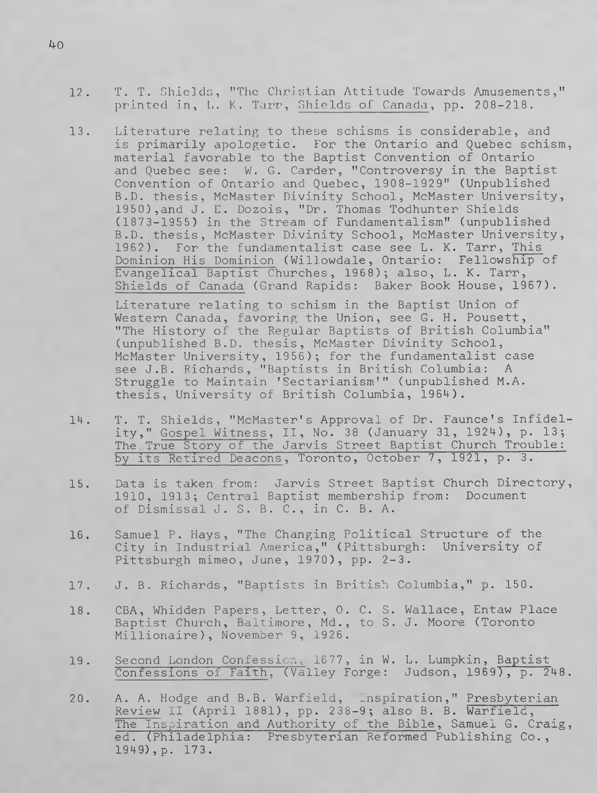- 12. T. T. Shields, "The Christian Attitude Towards Amusements," printed in, L. K. Tarr, Shields of Canada, pp. 208-218.
- 13. Literature relating to these schisms is considerable, and is primarily apologetic. For the Ontario and Quebec schism, material favorable to the Baptist Convention of Ontario and Quebec see: W. G. Carder, "Controversy in the Baptist Convention of Ontario and Quebec, 1908-1929" (Unpublished B.D. thesis, McMaster Divinity School, McMaster University, 1950),and J. E. Dozois, "Dr. Thomas Todhunter Shields (1873-1955) in the Stream of Fundamentalism" (unpublished B.D. thesis, McMaster Divinity School, McMaster University, 1962). For the fundamentalist case see L. K. Tarr, This Dominion His Dominion (Willowdale, Ontario: Fellowship of Evangelical Baptist Churches, 1968); also, L. K. Tarr, Shields of Canada (Grand Rapids: Baker Book House, 1967).

Literature relating to schism in the Baptist Union of Western Canada, favoring the Union, see G. H. Pousett, "The History of the Regular Baptists of British Columbia" (unpublished B.D. thesis, McMaster Divinity School, McMaster University, 1956); for the fundamentalist case see J.B. Richards, "Baptists in British Columbia: A Struggle to Maintain 'Sectarianism'" (unpublished M.A. thesis, University of British Columbia, 1964).

- 14. T. T. Shields, "McMaster's Approval of Dr. Faunce's Infidelity," Gospel Witness, II , No. 38 (January 31, 1924), p. 13; The True Story of the Jarvis Street Baptist Church Trouble: by its Retired Deacons, Toronto, October 7, 1921, p. 3.
- 15. Data is taken from: Jarvis Street Baptist Church Directory, 1910, 1913; Central Baptist membership from: Document of Dismissal J. S. B. C., in C. B. A.
- 16. Samuel P. Hays, "The Changing Political Structure of the City in Industrial America," (Pittsburgh: University of Pittsburgh mimeo, June, 1970), pp. 2-3.
- 17. J. B. Richards, "Baptists in British Columbia," p. 150.
- 18. CBA, Whidden Papers, Letter, 0. C. S. Wallace, Entaw Place Baptist Church, Baltimore, Md., to S. J. Moore (Toronto Millionaire), November 9, 1926.
- 19. Second London Confession, 1677, in W. L. Lumpkin, Baptist Confessions of Faith, (Valley Forge: Judson, 1969), p. 248.
- 20. A. A. Hodge and B.B. Warfield, Inspiration," Presbyterian Review II (April 1881), pp. 238-9; also B. B. Warfield, The Inspiration and Authority of the Bible, Samuel G. Craig, ed. (Philadelphia: Presbyterian Reformed Publishing Co., 1949),p. 173.